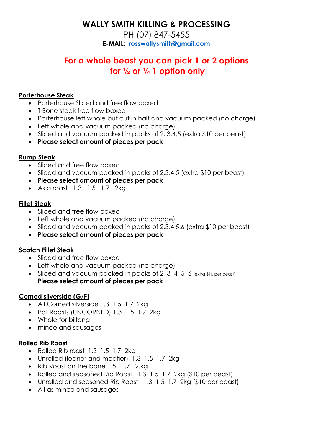# **WALLY SMITH KILLING & PROCESSING**

PH (07) 847-5455 **E-MAIL: [rosswallysmith@gmail.com](mailto:rosswallysmith@gmail.com)**

# **For a whole beast you can pick 1 or 2 options for ½ or ¼ 1 option only**

## **Porterhouse Steak**

- Porterhouse Sliced and free flow boxed
- T Bone steak free flow boxed
- Porterhouse left whole but cut in half and vacuum packed (no charge)
- Left whole and vacuum packed (no charge)
- Sliced and vacuum packed in packs of 2, 3,4,5 (extra \$10 per beast)
- **Please select amount of pieces per pack**

## **Rump Steak**

- Sliced and free flow boxed
- Sliced and vacuum packed in packs of 2,3,4,5 (extra \$10 per beast)
- **Please select amount of pieces per pack**
- As a roast 1.3 1.5 1.7 2kg

## **Fillet Steak**

- Sliced and free flow boxed
- Left whole and vacuum packed (no charge)
- Sliced and vacuum packed in packs of 2,3,4,5,6 (extra \$10 per beast)
- **Please select amount of pieces per pack**

# **Scotch Fillet Steak**

- Sliced and free flow boxed
- Left whole and vacuum packed (no charge)
- Sliced and vacuum packed in packs of 2 3 4 5 6 (extra \$10 per beast) **Please select amount of pieces per pack**

# **Corned silverside (G/F)**

- All Corned silverside 1.3 1.5 1.7 2kg
- Pot Roasts (UNCORNED) 1.3 1.5 1.7 2kg
- Whole for biltong
- mince and sausages

#### **Rolled Rib Roast**

- Rolled Rib roast 1.3 1.5 1.7 2kg
- Unrolled (leaner and meatier) 1.3 1.5 1.7 2kg
- Rib Roast on the bone 1.5 1.7 2.kg
- Rolled and seasoned Rib Roast 1.3 1.5 1.7 2kg (\$10 per beast)
- Unrolled and seasoned Rib Roast 1.3 1.5 1.7 2kg (\$10 per beast)
- All as mince and sausages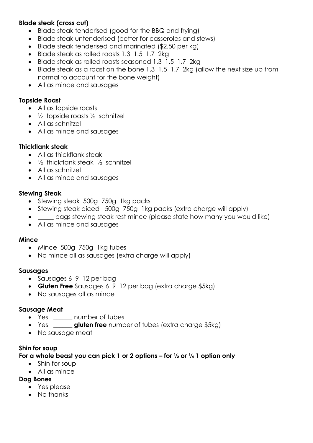## **Blade steak (cross cut)**

- Blade steak tenderised (good for the BBQ and frying)
- Blade steak untenderised (better for casseroles and stews)
- Blade steak tenderised and marinated (\$2.50 per kg)
- Blade steak as rolled roasts 1.3 1.5 1.7 2kg
- Blade steak as rolled roasts seasoned 1.3 1.5 1.7 2kg
- Blade steak as a roast on the bone 1.3 1.5 1.7 2kg (allow the next size up from normal to account for the bone weight)
- All as mince and sausages

## **Topside Roast**

- All as topside roasts
- $\frac{1}{2}$  topside roasts  $\frac{1}{2}$  schnitzel
- All as schnitzel
- All as mince and sausages

## **Thickflank steak**

- All as thickflank steak
- $\frac{1}{2}$  thickflank steak  $\frac{1}{2}$  schnitzel
- All as schnitzel
- All as mince and sausages

## **Stewing Steak**

- Stewing steak 500g 750g 1kg packs
- Stewing steak diced 500g 750g 1kg packs (extra charge will apply)
- bags stewing steak rest mince (please state how many you would like)
- All as mince and sausages

#### **Mince**

- Mince 500g 750g 1kg tubes
- No mince all as sausages (extra charge will apply)

#### **Sausages**

- Sausages 6 9 12 per bag
- **Gluten Free** Sausages 6 9 12 per bag (extra charge \$5kg)
- No sausages all as mince

# **Sausage Meat**

- Yes \_\_\_\_\_\_ number of tubes
- Yes \_\_\_\_\_\_ **gluten free** number of tubes (extra charge \$5kg)
- No sausage meat

# **Shin for soup**

#### **For a whole beast you can pick 1 or 2 options – for ½ or ¼ 1 option only**

- Shin for soup
- All as mince

#### **Dog Bones**

- Yes please
- No thanks